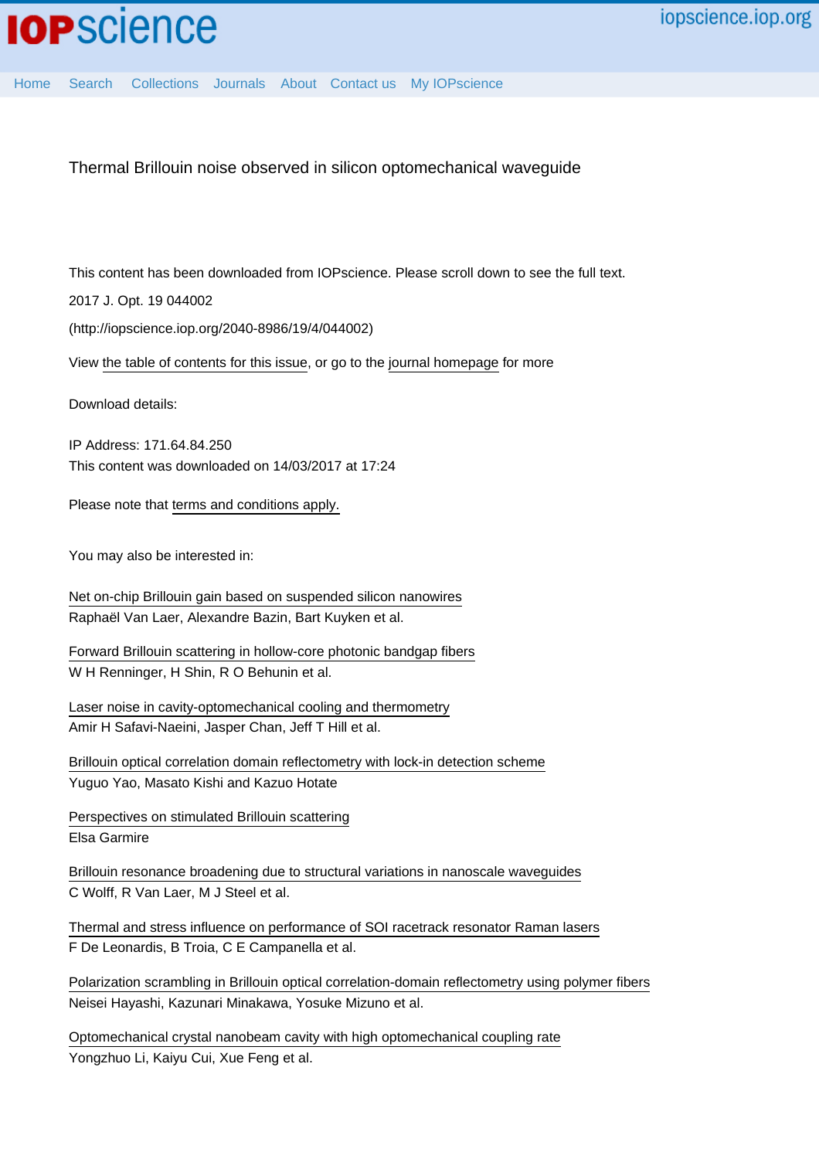Thermal Brillouin noise observed in silicon optomechanical waveguide

This content has been downloaded from IOPscience. Please scroll down to see the full text.

2017 J. Opt. 19 044002

(http://iopscience.iop.org/2040-8986/19/4/044002)

View [the table of contents for this issue](http://iopscience.iop.org/2040-8986/19/4), or go to the [journal homepage](http://iopscience.iop.org/2040-8986) for more

Download details:

IP Address: 171.64.84.250 This content was downloaded on 14/03/2017 at 17:24

Please note that [terms and conditions apply.](http://iopscience.iop.org/page/terms)

You may also be interested in:

[Net on-chip Brillouin gain based on suspended silicon nanowires](http://iopscience.iop.org/article/10.1088/1367-2630/17/11/115005) Raphaël Van Laer, Alexandre Bazin, Bart Kuyken et al.

[Forward Brillouin scattering in hollow-core photonic bandgap fibers](http://iopscience.iop.org/article/10.1088/1367-2630/18/2/025008) W H Renninger, H Shin, R O Behunin et al.

[Laser noise in cavity-optomechanical cooling and thermometry](http://iopscience.iop.org/article/10.1088/1367-2630/15/3/035007) Amir H Safavi-Naeini, Jasper Chan, Jeff T Hill et al.

[Brillouin optical correlation domain reflectometry with lock-in detection scheme](http://iopscience.iop.org/article/10.7567/APEX.9.072501) Yuguo Yao, Masato Kishi and Kazuo Hotate

[Perspectives on stimulated Brillouin scattering](http://iopscience.iop.org/article/10.1088/1367-2630/aa5447) Elsa Garmire

[Brillouin resonance broadening due to structural variations in nanoscale waveguides](http://iopscience.iop.org/article/10.1088/1367-2630/18/2/025006) C Wolff, R Van Laer, M J Steel et al.

[Thermal and stress influence on performance of SOI racetrack resonator Raman lasers](http://iopscience.iop.org/article/10.1088/2040-8978/16/8/085501) F De Leonardis, B Troia, C E Campanella et al.

[Polarization scrambling in Brillouin optical correlation-domain reflectometry using polymer fibers](http://iopscience.iop.org/article/10.7567/APEX.8.062501) Neisei Hayashi, Kazunari Minakawa, Yosuke Mizuno et al.

[Optomechanical crystal nanobeam cavity with high optomechanical coupling rate](http://iopscience.iop.org/article/10.1088/2040-8978/17/4/045001) Yongzhuo Li, Kaiyu Cui, Xue Feng et al.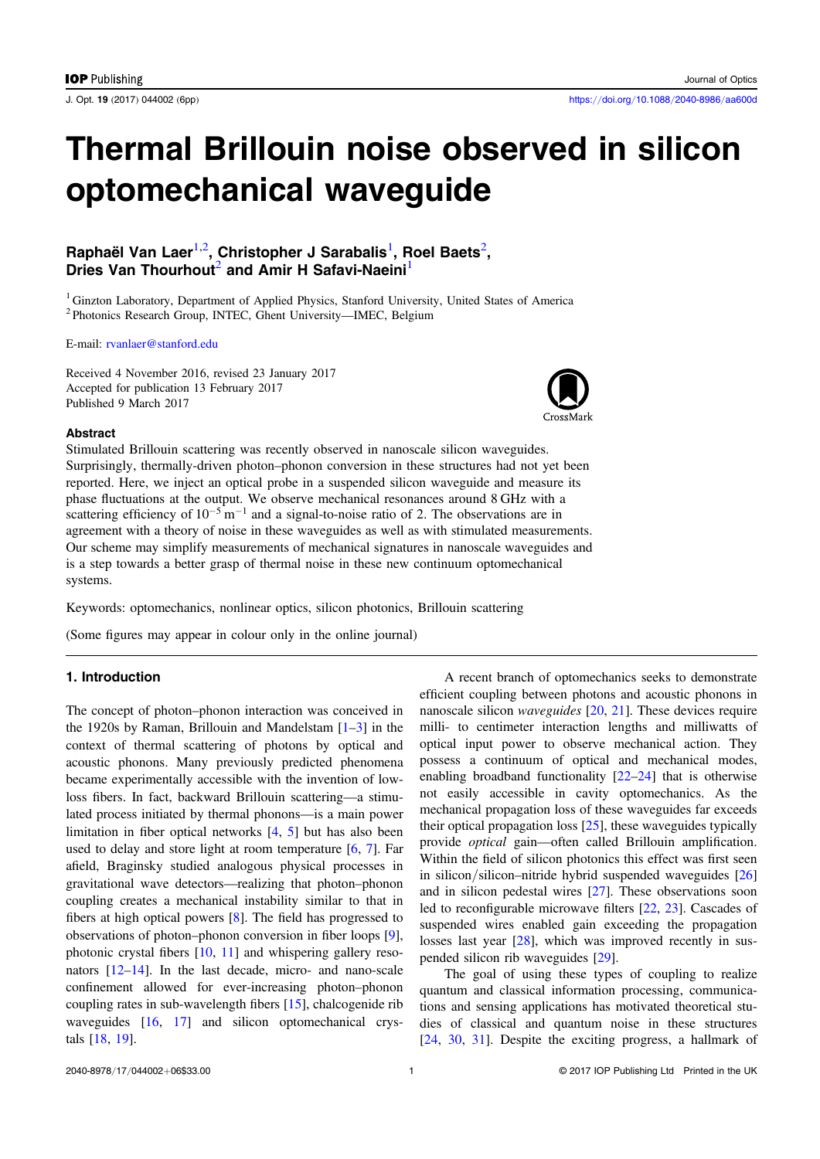# Thermal Brillouin noise observed in silicon optomechanical waveguide

# Raphaël Van Laer $^{1,2}$ , Christopher J Sarabalis $^{1}$ , Roel Baets $^{2}$ , Dries Van Thourhout<sup>2</sup> and Amir H Safavi-Naeini<sup>1</sup>

<sup>1</sup> Ginzton Laboratory, Department of Applied Physics, Stanford University, United States of America <sup>2</sup> Photonics Research Group, INTEC, Ghent University—IMEC, Belgium

E-mail: [rvanlaer@stanford.edu](mailto:rvanlaer@stanford.edu)

Received 4 November 2016, revised 23 January 2017 Accepted for publication 13 February 2017 Published 9 March 2017



#### Abstract

Stimulated Brillouin scattering was recently observed in nanoscale silicon waveguides. Surprisingly, thermally-driven photon–phonon conversion in these structures had not yet been reported. Here, we inject an optical probe in a suspended silicon waveguide and measure its phase fluctuations at the output. We observe mechanical resonances around 8 GHz with a scattering efficiency of  $10^{-5}$  m<sup>-1</sup> and a signal-to-noise ratio of 2. The observations are in agreement with a theory of noise in these waveguides as well as with stimulated measurements. Our scheme may simplify measurements of mechanical signatures in nanoscale waveguides and is a step towards a better grasp of thermal noise in these new continuum optomechanical systems.

Keywords: optomechanics, nonlinear optics, silicon photonics, Brillouin scattering

(Some figures may appear in colour only in the online journal)

# 1. Introduction

The concept of photon–phonon interaction was conceived in the [1](#page-6-0)920s by Raman, Brillouin and Mandelstam  $[1-3]$  $[1-3]$  $[1-3]$  in the context of thermal scattering of photons by optical and acoustic phonons. Many previously predicted phenomena became experimentally accessible with the invention of lowloss fibers. In fact, backward Brillouin scattering—a stimulated process initiated by thermal phonons—is a main power limitation in fiber optical networks [[4](#page-6-0), [5](#page-6-0)] but has also been used to delay and store light at room temperature  $[6, 7]$  $[6, 7]$  $[6, 7]$  $[6, 7]$  $[6, 7]$ . Far afield, Braginsky studied analogous physical processes in gravitational wave detectors—realizing that photon–phonon coupling creates a mechanical instability similar to that in fibers at high optical powers [[8](#page-6-0)]. The field has progressed to observations of photon–phonon conversion in fiber loops [[9](#page-6-0)], photonic crystal fibers [[10](#page-6-0), [11](#page-6-0)] and whispering gallery resonators [[12](#page-6-0)–[14](#page-6-0)]. In the last decade, micro- and nano-scale confinement allowed for ever-increasing photon–phonon coupling rates in sub-wavelength fibers [[15](#page-6-0)], chalcogenide rib waveguides [[16](#page-6-0), [17](#page-6-0)] and silicon optomechanical crystals [[18,](#page-6-0) [19](#page-6-0)].

A recent branch of optomechanics seeks to demonstrate efficient coupling between photons and acoustic phonons in nanoscale silicon waveguides [[20,](#page-6-0) [21](#page-6-0)]. These devices require milli- to centimeter interaction lengths and milliwatts of optical input power to observe mechanical action. They possess a continuum of optical and mechanical modes, enabling broadband functionality [[22](#page-6-0)–[24](#page-6-0)] that is otherwise not easily accessible in cavity optomechanics. As the mechanical propagation loss of these waveguides far exceeds their optical propagation loss [[25](#page-6-0)], these waveguides typically provide optical gain—often called Brillouin amplification. Within the field of silicon photonics this effect was first seen in silicon/silicon–nitride hybrid suspended waveguides [[26](#page-6-0)] and in silicon pedestal wires [[27](#page-6-0)]. These observations soon led to reconfigurable microwave filters [[22](#page-6-0), [23](#page-6-0)]. Cascades of suspended wires enabled gain exceeding the propagation losses last year [[28](#page-6-0)], which was improved recently in suspended silicon rib waveguides [[29](#page-6-0)].

The goal of using these types of coupling to realize quantum and classical information processing, communications and sensing applications has motivated theoretical studies of classical and quantum noise in these structures [[24](#page-6-0), [30](#page-6-0), [31](#page-6-0)]. Despite the exciting progress, a hallmark of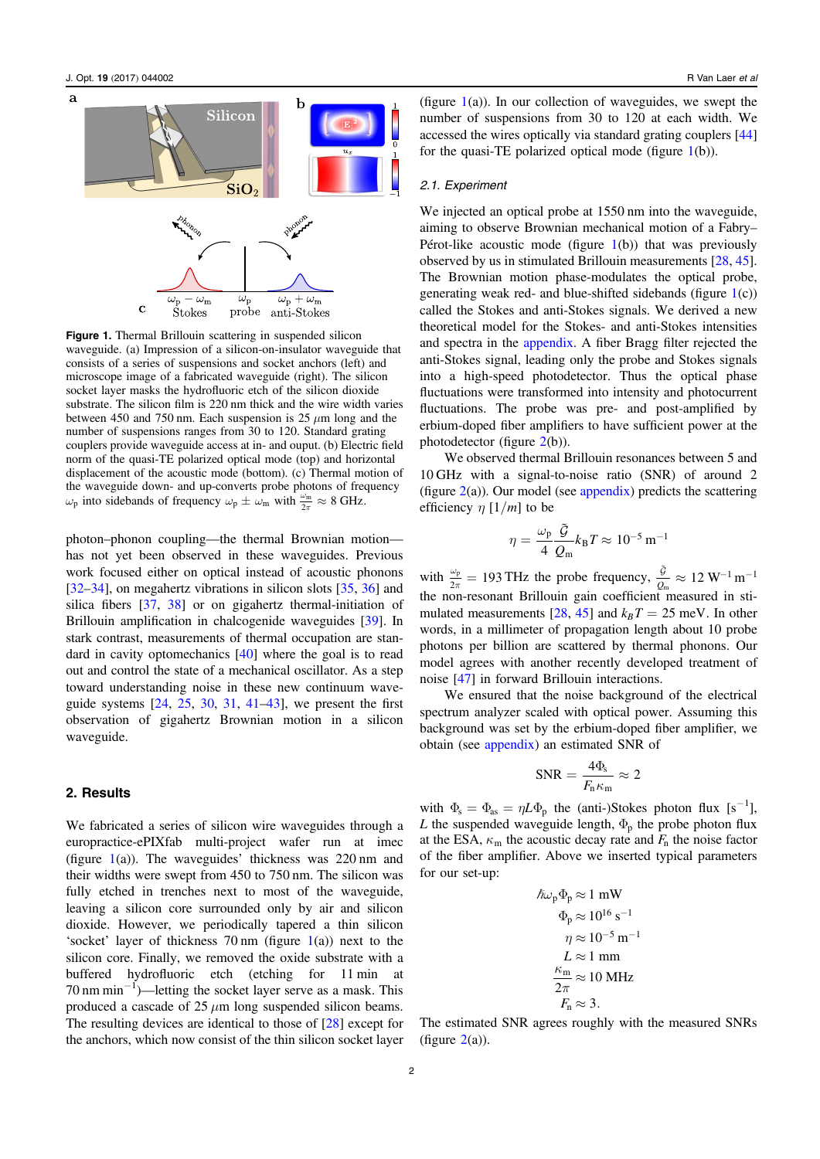

Figure 1. Thermal Brillouin scattering in suspended silicon waveguide. (a) Impression of a silicon-on-insulator waveguide that consists of a series of suspensions and socket anchors (left) and microscope image of a fabricated waveguide (right). The silicon socket layer masks the hydrofluoric etch of the silicon dioxide substrate. The silicon film is 220 nm thick and the wire width varies between 450 and 750 nm. Each suspension is 25  $\mu$ m long and the number of suspensions ranges from 30 to 120. Standard grating couplers provide waveguide access at in- and ouput. (b) Electric field norm of the quasi-TE polarized optical mode (top) and horizontal displacement of the acoustic mode (bottom). (c) Thermal motion of the waveguide down- and up-converts probe photons of frequency  $\omega_p$  into sidebands of frequency  $\omega_p \pm \omega_m$  with  $\frac{\omega_m}{2\pi} \approx 8$  GHz.

photon–phonon coupling—the thermal Brownian motion has not yet been observed in these waveguides. Previous work focused either on optical instead of acoustic phonons [[32](#page-6-0)–[34](#page-6-0)], on megahertz vibrations in silicon slots [[35](#page-6-0), [36](#page-6-0)] and silica fibers [[37](#page-6-0), [38](#page-6-0)] or on gigahertz thermal-initiation of Brillouin amplification in chalcogenide waveguides [[39](#page-6-0)]. In stark contrast, measurements of thermal occupation are standard in cavity optomechanics [[40](#page-6-0)] where the goal is to read out and control the state of a mechanical oscillator. As a step toward understanding noise in these new continuum waveguide systems [[24](#page-6-0), [25,](#page-6-0) [30,](#page-6-0) [31](#page-6-0), [41](#page-6-0)–[43](#page-6-0)], we present the first observation of gigahertz Brownian motion in a silicon waveguide.

## 2. Results

We fabricated a series of silicon wire waveguides through a europractice-ePIXfab multi-project wafer run at imec (figure  $1(a)$ ). The waveguides' thickness was 220 nm and their widths were swept from 450 to 750 nm. The silicon was fully etched in trenches next to most of the waveguide, leaving a silicon core surrounded only by air and silicon dioxide. However, we periodically tapered a thin silicon 'socket' layer of thickness  $70 \text{ nm}$  (figure  $1(a)$ ) next to the silicon core. Finally, we removed the oxide substrate with a buffered hydrofluoric etch (etching for 11 min at 70 nm min−<sup>1</sup> )—letting the socket layer serve as a mask. This produced a cascade of  $25 \mu m$  long suspended silicon beams. The resulting devices are identical to those of [[28](#page-6-0)] except for the anchors, which now consist of the thin silicon socket layer

(figure  $1(a)$ ). In our collection of waveguides, we swept the number of suspensions from 30 to 120 at each width. We accessed the wires optically via standard grating couplers [[44](#page-6-0)] for the quasi-TE polarized optical mode (figure  $1(b)$ ).

#### 2.1. Experiment

We injected an optical probe at 1550 nm into the waveguide, aiming to observe Brownian mechanical motion of a Fabry– Pérot-like acoustic mode (figure  $1(b)$ ) that was previously observed by us in stimulated Brillouin measurements [[28](#page-6-0), [45](#page-6-0)]. The Brownian motion phase-modulates the optical probe, generating weak red- and blue-shifted sidebands (figure 1(c)) called the Stokes and anti-Stokes signals. We derived a new theoretical model for the Stokes- and anti-Stokes intensities and spectra in the [appendix](#page-4-0). A fiber Bragg filter rejected the anti-Stokes signal, leading only the probe and Stokes signals into a high-speed photodetector. Thus the optical phase fluctuations were transformed into intensity and photocurrent fluctuations. The probe was pre- and post-amplified by erbium-doped fiber amplifiers to have sufficient power at the photodetector (figure [2](#page-3-0)(b)).

We observed thermal Brillouin resonances between 5 and 10 GHz with a signal-to-noise ratio (SNR) of around 2 (figure  $2(a)$  $2(a)$ ). Our model (see [appendix](#page-4-0)) predicts the scattering efficiency  $\eta$  [1/m] to be

$$
\eta = \frac{\omega_{\rm p}}{4} \frac{\tilde{\mathcal{G}}}{\mathcal{Q}_{\rm m}} k_{\rm B} T \approx 10^{-5}\,{\rm m}^{-1}
$$

with  $\frac{\omega_p}{2\pi} = 193$  THz the probe frequency,  $\frac{\tilde{g}}{Q_m} \approx 12$  W<sup>-1</sup> m<sup>-1</sup>  $\frac{\tilde{g}}{2_{\textrm{m}}} \approx 12~\textrm{W}^{-1}\,\textrm{m}^{-1}$ the non-resonant Brillouin gain coefficient measured in sti-mulated measurements [[28](#page-6-0), [45](#page-6-0)] and  $k_B T = 25$  meV. In other words, in a millimeter of propagation length about 10 probe photons per billion are scattered by thermal phonons. Our model agrees with another recently developed treatment of noise [[47](#page-6-0)] in forward Brillouin interactions.

We ensured that the noise background of the electrical spectrum analyzer scaled with optical power. Assuming this background was set by the erbium-doped fiber amplifier, we obtain (see [appendix](#page-4-0)) an estimated SNR of

$$
SNR = \frac{4\Phi_{\rm s}}{F_{\rm n}\kappa_{\rm m}} \approx 2
$$

with  $\Phi_s = \Phi_{as} = \eta L \Phi_p$  the (anti-)Stokes photon flux [s<sup>-1</sup>], L the suspended waveguide length,  $\Phi_p$  the probe photon flux at the ESA,  $\kappa_{\rm m}$  the acoustic decay rate and  $F_{\rm n}$  the noise factor of the fiber amplifier. Above we inserted typical parameters for our set-up:

$$
\hbar\omega_{\rm p}\Phi_{\rm p} \approx 1 \text{ mW}
$$
  
\n
$$
\Phi_{\rm p} \approx 10^{16} \text{ s}^{-1}
$$
  
\n
$$
\eta \approx 10^{-5} \text{ m}^{-1}
$$
  
\n
$$
L \approx 1 \text{ mm}
$$
  
\n
$$
\frac{\kappa_{\rm m}}{2\pi} \approx 10 \text{ MHz}
$$
  
\n
$$
F_{\rm n} \approx 3.
$$

The estimated SNR agrees roughly with the measured SNRs (figure  $2(a)$  $2(a)$ ).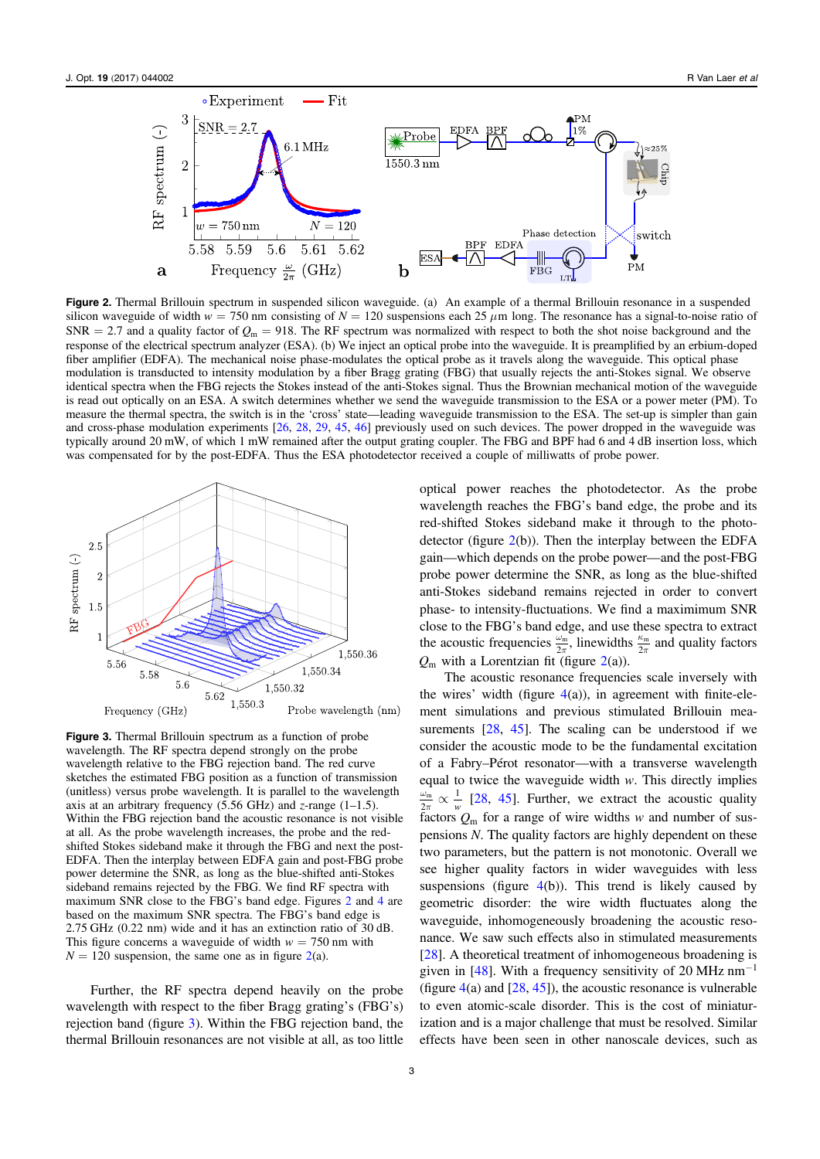<span id="page-3-0"></span>

Figure 2. Thermal Brillouin spectrum in suspended silicon waveguide. (a) An example of a thermal Brillouin resonance in a suspended silicon waveguide of width  $w = 750$  nm consisting of  $N = 120$  suspensions each 25  $\mu$ m long. The resonance has a signal-to-noise ratio of  $SNR = 2.7$  and a quality factor of  $Q_m = 918$ . The RF spectrum was normalized with respect to both the shot noise background and the response of the electrical spectrum analyzer (ESA). (b) We inject an optical probe into the waveguide. It is preamplified by an erbium-doped fiber amplifier (EDFA). The mechanical noise phase-modulates the optical probe as it travels along the waveguide. This optical phase modulation is transducted to intensity modulation by a fiber Bragg grating (FBG) that usually rejects the anti-Stokes signal. We observe identical spectra when the FBG rejects the Stokes instead of the anti-Stokes signal. Thus the Brownian mechanical motion of the waveguide is read out optically on an ESA. A switch determines whether we send the waveguide transmission to the ESA or a power meter (PM). To measure the thermal spectra, the switch is in the 'cross' state—leading waveguide transmission to the ESA. The set-up is simpler than gain and cross-phase modulation experiments [[26,](#page-6-0) [28,](#page-6-0) [29](#page-6-0), [45](#page-6-0), [46](#page-6-0)] previously used on such devices. The power dropped in the waveguide was typically around 20 mW, of which 1 mW remained after the output grating coupler. The FBG and BPF had 6 and 4 dB insertion loss, which was compensated for by the post-EDFA. Thus the ESA photodetector received a couple of milliwatts of probe power.



Figure 3. Thermal Brillouin spectrum as a function of probe wavelength. The RF spectra depend strongly on the probe wavelength relative to the FBG rejection band. The red curve sketches the estimated FBG position as a function of transmission (unitless) versus probe wavelength. It is parallel to the wavelength axis at an arbitrary frequency (5.56 GHz) and  $z$ -range (1–1.5). Within the FBG rejection band the acoustic resonance is not visible at all. As the probe wavelength increases, the probe and the redshifted Stokes sideband make it through the FBG and next the post-EDFA. Then the interplay between EDFA gain and post-FBG probe power determine the SNR, as long as the blue-shifted anti-Stokes sideband remains rejected by the FBG. We find RF spectra with maximum SNR close to the FBG's band edge. Figures 2 and [4](#page-4-0) are based on the maximum SNR spectra. The FBG's band edge is 2.75 GHz (0.22 nm) wide and it has an extinction ratio of 30 dB. This figure concerns a waveguide of width  $w = 750$  nm with  $N = 120$  suspension, the same one as in figure 2(a).

Further, the RF spectra depend heavily on the probe wavelength with respect to the fiber Bragg grating's (FBG's) rejection band (figure 3). Within the FBG rejection band, the thermal Brillouin resonances are not visible at all, as too little optical power reaches the photodetector. As the probe wavelength reaches the FBG's band edge, the probe and its red-shifted Stokes sideband make it through to the photodetector (figure  $2(b)$ ). Then the interplay between the EDFA gain—which depends on the probe power—and the post-FBG probe power determine the SNR, as long as the blue-shifted anti-Stokes sideband remains rejected in order to convert phase- to intensity-fluctuations. We find a maximimum SNR close to the FBG's band edge, and use these spectra to extract the acoustic frequencies  $\frac{\omega_m}{2\pi}$ , linewidths  $\frac{\kappa_m}{2\pi}$  and quality factors  $Q_m$  with a Lorentzian fit (figure 2(a)).

The acoustic resonance frequencies scale inversely with the wires' width (figure  $4(a)$  $4(a)$ ), in agreement with finite-element simulations and previous stimulated Brillouin measurements  $[28, 45]$  $[28, 45]$  $[28, 45]$  $[28, 45]$  $[28, 45]$ . The scaling can be understood if we consider the acoustic mode to be the fundamental excitation of a Fabry–Pérot resonator—with a transverse wavelength equal to twice the waveguide width  $w$ . This directly implies  $2\pi$  *w*  $\frac{\omega_m}{2\pi} \propto \frac{1}{w}$  [[28](#page-6-0), [45](#page-6-0)]. Further, we extract the acoustic quality factors *Q*<sup>m</sup> for a range of wire widths w and number of suspensions N. The quality factors are highly dependent on these two parameters, but the pattern is not monotonic. Overall we see higher quality factors in wider waveguides with less suspensions (figure  $4(b)$  $4(b)$ ). This trend is likely caused by geometric disorder: the wire width fluctuates along the waveguide, inhomogeneously broadening the acoustic resonance. We saw such effects also in stimulated measurements [[28](#page-6-0)]. A theoretical treatment of inhomogeneous broadening is given in [[48](#page-6-0)]. With a frequency sensitivity of 20 MHz  $nm^{-1}$ (figure  $4(a)$  $4(a)$  and  $[28, 45]$  $[28, 45]$  $[28, 45]$  $[28, 45]$  $[28, 45]$ ), the acoustic resonance is vulnerable to even atomic-scale disorder. This is the cost of miniaturization and is a major challenge that must be resolved. Similar effects have been seen in other nanoscale devices, such as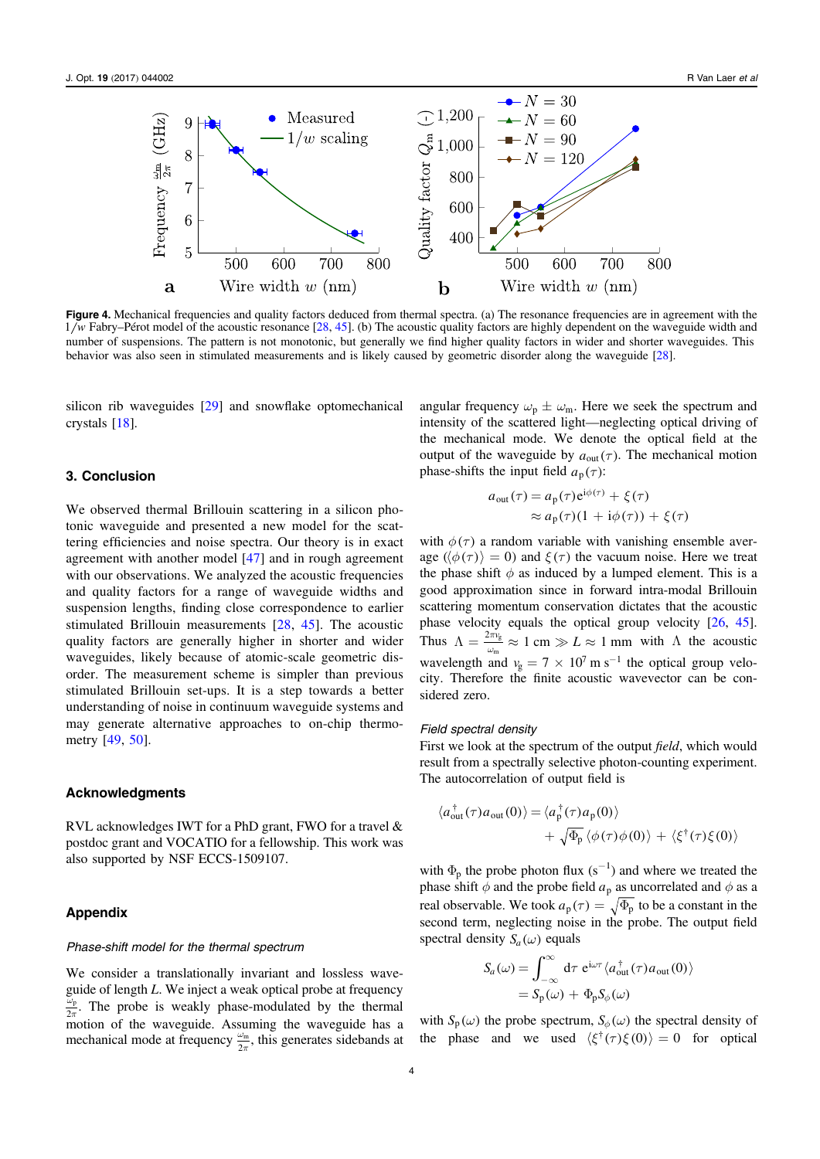<span id="page-4-0"></span>

Figure 4. Mechanical frequencies and quality factors deduced from thermal spectra. (a) The resonance frequencies are in agreement with the 1 *w* Fabry–Pérot model of the acoustic resonance [[28,](#page-6-0) [45](#page-6-0)]. (b) The acoustic quality factors are highly dependent on the waveguide width and number of suspensions. The pattern is not monotonic, but generally we find higher quality factors in wider and shorter waveguides. This behavior was also seen in stimulated measurements and is likely caused by geometric disorder along the waveguide [[28](#page-6-0)].

silicon rib waveguides [[29](#page-6-0)] and snowflake optomechanical crystals [[18](#page-6-0)].

### 3. Conclusion

We observed thermal Brillouin scattering in a silicon photonic waveguide and presented a new model for the scattering efficiencies and noise spectra. Our theory is in exact agreement with another model [[47](#page-6-0)] and in rough agreement with our observations. We analyzed the acoustic frequencies and quality factors for a range of waveguide widths and suspension lengths, finding close correspondence to earlier stimulated Brillouin measurements [[28](#page-6-0), [45](#page-6-0)]. The acoustic quality factors are generally higher in shorter and wider waveguides, likely because of atomic-scale geometric disorder. The measurement scheme is simpler than previous stimulated Brillouin set-ups. It is a step towards a better understanding of noise in continuum waveguide systems and may generate alternative approaches to on-chip thermometry [[49](#page-6-0), [50](#page-6-0)].

## Acknowledgments

RVL acknowledges IWT for a PhD grant, FWO for a travel & postdoc grant and VOCATIO for a fellowship. This work was also supported by NSF ECCS-1509107.

# Appendix

#### Phase-shift model for the thermal spectrum

We consider a translationally invariant and lossless waveguide of length L. We inject a weak optical probe at frequency 2  $\frac{\omega_p}{2\pi}$ . The probe is weakly phase-modulated by the thermal motion of the waveguide. Assuming the waveguide has a mechanical mode at frequency  $\frac{\omega_m}{2\pi}$ , this generates sidebands at

angular frequency  $\omega_p \pm \omega_m$ . Here we seek the spectrum and intensity of the scattered light—neglecting optical driving of the mechanical mode. We denote the optical field at the output of the waveguide by  $a_{\text{out}}(\tau)$ . The mechanical motion phase-shifts the input field  $a_p(\tau)$ :

$$
a_{\text{out}}(\tau) = a_{\text{p}}(\tau) e^{i\phi(\tau)} + \xi(\tau)
$$
  
 
$$
\approx a_{\text{p}}(\tau)(1 + i\phi(\tau)) + \xi(\tau)
$$

with  $\phi(\tau)$  a random variable with vanishing ensemble average ( $\langle \phi(\tau) \rangle = 0$ ) and  $\xi(\tau)$  the vacuum noise. Here we treat the phase shift  $\phi$  as induced by a lumped element. This is a good approximation since in forward intra-modal Brillouin scattering momentum conservation dictates that the acoustic phase velocity equals the optical group velocity [[26,](#page-6-0) [45](#page-6-0)]. Thus  $\Lambda = \frac{2\pi v_{\rm g}}{\omega_{\rm m}} \approx 1$  cm  $\gg L \approx 1$  mm with  $\Lambda$  the acoustic wavelength and  $v_{\rm g} = 7 \times 10^7 \,\rm m\,s^{-1}$  the optical group velocity. Therefore the finite acoustic wavevector can be considered zero.

#### Field spectral density

First we look at the spectrum of the output *field*, which would result from a spectrally selective photon-counting experiment. The autocorrelation of output field is

$$
\langle a_{\text{out}}^{\dagger}(\tau)a_{\text{out}}(0)\rangle = \langle a_{\text{p}}^{\dagger}(\tau)a_{\text{p}}(0)\rangle + \sqrt{\Phi_{\text{p}}} \langle \phi(\tau)\phi(0)\rangle + \langle \xi^{\dagger}(\tau)\xi(0)\rangle
$$

with  $\Phi_p$  the probe photon flux (s<sup>-1</sup>) and where we treated the phase shift  $\phi$  and the probe field  $a_p$  as uncorrelated and  $\phi$  as a real observable. We took  $a_p(\tau) = \sqrt{\Phi_p}$  to be a constant in the second term, neglecting noise in the probe. The output field spectral density  $S_a(\omega)$  equals

$$
S_a(\omega) = \int_{-\infty}^{\infty} d\tau \ e^{i\omega \tau} \langle a_{out}^{\dagger}(\tau) a_{out}(0) \rangle
$$
  
=  $S_p(\omega) + \Phi_p S_{\phi}(\omega)$ 

with  $S_p(\omega)$  the probe spectrum,  $S_\phi(\omega)$  the spectral density of the phase and we used  $\langle \xi^{\dagger}(\tau) \xi(0) \rangle = 0$  for optical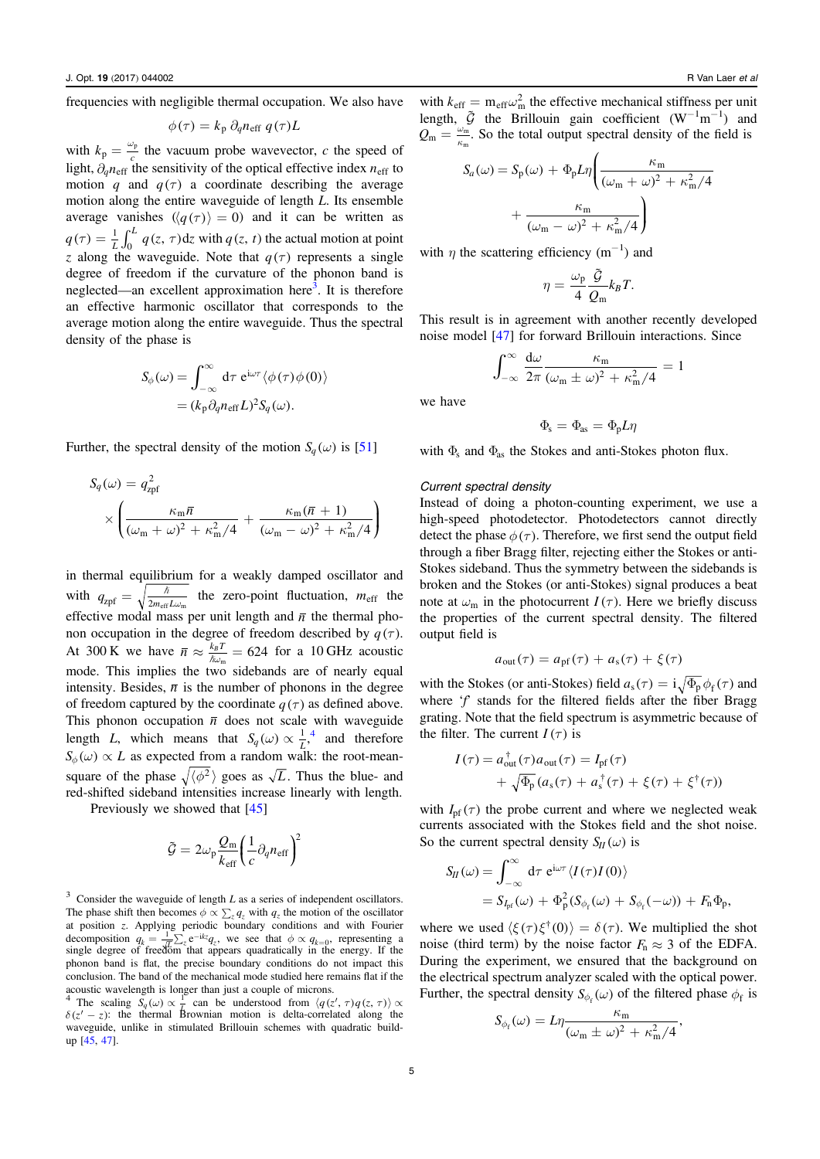frequencies with negligible thermal occupation. We also have

$$
\phi(\tau) = k_{\rm p} \, \partial_q n_{\rm eff} \, q(\tau) L
$$

with  $k_p = \frac{\omega_p}{c}$  the vacuum probe wavevector, c the speed of light,  $\partial_q n_{\text{eff}}$  the sensitivity of the optical effective index  $n_{\text{eff}}$  to motion q and  $q(\tau)$  a coordinate describing the average motion along the entire waveguide of length L. Its ensemble average vanishes  $\langle \langle q(\tau) \rangle = 0$  and it can be written as  $q(\tau) = \frac{1}{L} \int_0^L q(z, \tau) dz$  with  $q(z, t)$  the actual motion at point z along the waveguide. Note that  $q(\tau)$  represents a single degree of freedom if the curvature of the phonon band is neglected—an excellent approximation here<sup>3</sup>. It is therefore an effective harmonic oscillator that corresponds to the average motion along the entire waveguide. Thus the spectral density of the phase is

$$
S_{\phi}(\omega) = \int_{-\infty}^{\infty} d\tau \ e^{i\omega \tau} \langle \phi(\tau) \phi(0) \rangle
$$
  
=  $(k_{p} \partial_{q} n_{\text{eff}} L)^{2} S_{q}(\omega).$ 

Further, the spectral density of the motion  $S_q(\omega)$  is [[51](#page-6-0)]

$$
S_q(\omega) = q_{\text{zpf}}^2
$$
  
 
$$
\times \left( \frac{\kappa_m \overline{n}}{(\omega_m + \omega)^2 + \kappa_m^2/4} + \frac{\kappa_m (\overline{n} + 1)}{(\omega_m - \omega)^2 + \kappa_m^2/4} \right)
$$

in thermal equilibrium for a weakly damped oscillator and with  $q_{\text{zpf}} = \sqrt{\frac{\hbar}{2m_{\text{eff}}L\omega_{\text{m}}}}$  the zero-point fluctuation,  $m_{\text{eff}}$  the effective modal mass per unit length and  $\bar{n}$  the thermal phonon occupation in the degree of freedom described by  $q(\tau)$ . At 300 K we have  $\bar{n} \approx \frac{k_B T}{\hbar \omega_m} = 624$  for a 10 GHz acoustic mode. This implies the two sidebands are of nearly equal intensity. Besides,  $\bar{n}$  is the number of phonons in the degree of freedom captured by the coordinate  $q(\tau)$  as defined above. This phonon occupation  $\bar{n}$  does not scale with waveguide length *L*, which means that  $S_q(\omega) \propto \frac{1}{L}$ , and therefore  $S_{\phi}(\omega) \propto L$  as expected from a random walk: the root-meansquare of the phase  $\sqrt{\langle \phi^2 \rangle}$  goes as  $\sqrt{L}$ . Thus the blue- and red-shifted sideband intensities increase linearly with length.

Previously we showed that [[45](#page-6-0)]

$$
\tilde{\mathcal{G}} = 2\omega_p \frac{Q_m}{k_{\text{eff}}} \left(\frac{1}{c} \partial_q n_{\text{eff}}\right)^2
$$

 $3$  Consider the waveguide of length L as a series of independent oscillators. The phase shift then becomes  $\phi \propto \sum_{z} q_{z}$  with  $q_{z}$  the motion of the oscillator at position z. Applying periodic boundary conditions and with Fourier decomposition  $q_k = \frac{1}{\sqrt{k}} \sum_z e^{-ikz} q_z$ , we see that  $\phi \propto q_{k=0}$ , representing a single degree of freedom that appears quadratically in the energy. If the phonon band is flat, the precise boundary conditions do not impact this conclusion. The band of the mechanical mode studied here remains flat if the acoustic wavelength is longer than just a couple of microns.

<sup>4</sup> The scaling  $S_q(\omega) \propto \frac{1}{b}$  can be understood from  $\langle q(z', \tau)q(z, \tau) \rangle \propto$  $\delta(z'-z)$ : the thermal Brownian motion is delta-correlated along the waveguide, unlike in stimulated Brillouin schemes with quadratic buildup [[45,](#page-6-0) [47](#page-6-0)].

with  $k_{\text{eff}} = m_{\text{eff}} \omega_{\text{m}}^2$  the effective mechanical stiffness per unit length,  $\tilde{G}$  the Brillouin gain coefficient  $(W^{-1}m^{-1})$  and  $Q_m = \frac{\omega_m}{\kappa_m}$ . So the total output spectral density of the field is

$$
S_a(\omega) = S_p(\omega) + \Phi_p L \eta \left( \frac{\kappa_m}{(\omega_m + \omega)^2 + \kappa_m^2/4} + \frac{\kappa_m}{(\omega_m - \omega)^2 + \kappa_m^2/4} \right)
$$

with  $\eta$  the scattering efficiency (m<sup>-1</sup>) and

$$
\eta = \frac{\omega_{\rm p}}{4} \frac{\tilde{\mathcal{G}}}{\mathcal{Q}_{\rm m}} k_B T.
$$

This result is in agreement with another recently developed noise model [[47](#page-6-0)] for forward Brillouin interactions. Since

$$
\int_{-\infty}^{\infty} \frac{d\omega}{2\pi} \frac{\kappa_m}{(\omega_m \pm \omega)^2 + \kappa_m^2/4} = 1
$$

we have

$$
\Phi_{\rm s} = \Phi_{\rm as} = \Phi_{\rm p} L \eta
$$

with  $\Phi_s$  and  $\Phi_{as}$  the Stokes and anti-Stokes photon flux.

#### Current spectral density

Instead of doing a photon-counting experiment, we use a high-speed photodetector. Photodetectors cannot directly detect the phase  $\phi(\tau)$ . Therefore, we first send the output field through a fiber Bragg filter, rejecting either the Stokes or anti-Stokes sideband. Thus the symmetry between the sidebands is broken and the Stokes (or anti-Stokes) signal produces a beat note at  $\omega_m$  in the photocurrent  $I(\tau)$ . Here we briefly discuss the properties of the current spectral density. The filtered output field is

$$
a_{\text{out}}(\tau) = a_{\text{pf}}(\tau) + a_{\text{s}}(\tau) + \xi(\tau)
$$

with the Stokes (or anti-Stokes) field  $a_s(\tau) = i \sqrt{\Phi_p} \phi_f(\tau)$  and where  $f$  stands for the filtered fields after the fiber Bragg grating. Note that the field spectrum is asymmetric because of the filter. The current  $I(\tau)$  is

$$
I(\tau) = a_{\text{out}}^{\dagger}(\tau)a_{\text{out}}(\tau) = I_{\text{pf}}(\tau)
$$
  
+  $\sqrt{\Phi_{\text{p}}}(a_{\text{s}}(\tau) + a_{\text{s}}^{\dagger}(\tau) + \xi(\tau) + \xi^{\dagger}(\tau))$ 

with  $I_{\text{pf}}(\tau)$  the probe current and where we neglected weak currents associated with the Stokes field and the shot noise. So the current spectral density  $S_{II}(\omega)$  is

$$
S_{II}(\omega) = \int_{-\infty}^{\infty} d\tau \ e^{i\omega \tau} \langle I(\tau)I(0) \rangle
$$
  
=  $S_{I_{\text{pf}}}(\omega) + \Phi_{\text{p}}^2 (S_{\phi_{\text{f}}}(\omega) + S_{\phi_{\text{f}}}(-\omega)) + F_{\text{n}} \Phi_{\text{p}},$ 

where we used  $\langle \xi(\tau) \xi^{\dagger}(0) \rangle = \delta(\tau)$ . We multiplied the shot noise (third term) by the noise factor  $F_n \approx 3$  of the EDFA. During the experiment, we ensured that the background on the electrical spectrum analyzer scaled with the optical power. Further, the spectral density  $S_{\phi_f}(\omega)$  of the filtered phase  $\phi_f$  is

$$
S_{\phi_{\rm f}}(\omega) = L\eta \frac{\kappa_{\rm m}}{(\omega_{\rm m} \pm \omega)^2 + \kappa_{\rm m}^2/4},
$$